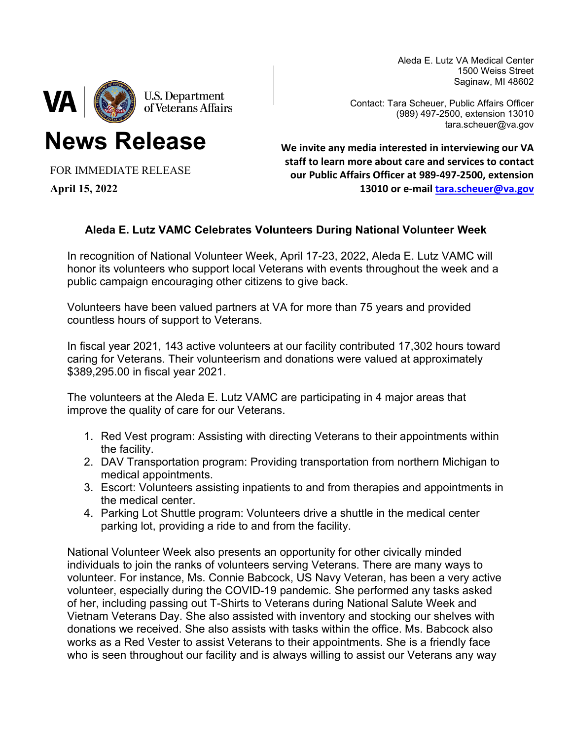Aleda E. Lutz VA Medical Center 1500 Weiss Street Saginaw, MI 48602



**News Release**

Contact: Tara Scheuer, Public Affairs Officer (989) 497-2500, extension 13010 tara.scheuer@va.gov

FOR IMMEDIATE RELEASE

**April 15, 2022**

**We invite any media interested in interviewing our VA staff to learn more about care and services to contact our Public Affairs Officer at 989-497-2500, extension 13010 or e-mail [tara.scheuer@va.gov](mailto:tara.scheuer@va.gov)**

## **Aleda E. Lutz VAMC Celebrates Volunteers During National Volunteer Week**

In recognition of National Volunteer Week, April 17-23, 2022, Aleda E. Lutz VAMC will honor its volunteers who support local Veterans with events throughout the week and a public campaign encouraging other citizens to give back.

Volunteers have been valued partners at VA for more than 75 years and provided countless hours of support to Veterans.

In fiscal year 2021, 143 active volunteers at our facility contributed 17,302 hours toward caring for Veterans. Their volunteerism and donations were valued at approximately \$389,295.00 in fiscal year 2021.

The volunteers at the Aleda E. Lutz VAMC are participating in 4 major areas that improve the quality of care for our Veterans.

- 1. Red Vest program: Assisting with directing Veterans to their appointments within the facility.
- 2. DAV Transportation program: Providing transportation from northern Michigan to medical appointments.
- 3. Escort: Volunteers assisting inpatients to and from therapies and appointments in the medical center.
- 4. Parking Lot Shuttle program: Volunteers drive a shuttle in the medical center parking lot, providing a ride to and from the facility.

National Volunteer Week also presents an opportunity for other civically minded individuals to join the ranks of volunteers serving Veterans. There are many ways to volunteer. For instance, Ms. Connie Babcock, US Navy Veteran, has been a very active volunteer, especially during the COVID-19 pandemic. She performed any tasks asked of her, including passing out T-Shirts to Veterans during National Salute Week and Vietnam Veterans Day. She also assisted with inventory and stocking our shelves with donations we received. She also assists with tasks within the office. Ms. Babcock also works as a Red Vester to assist Veterans to their appointments. She is a friendly face who is seen throughout our facility and is always willing to assist our Veterans any way